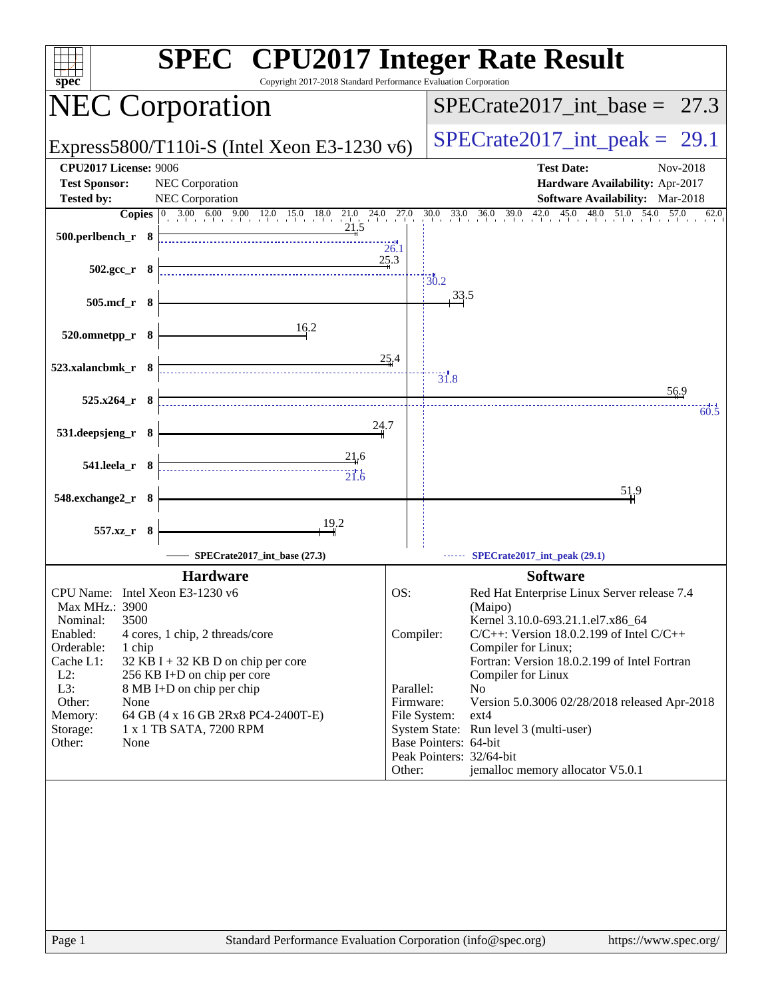| <b>SPEC<sup>®</sup></b> CPU2017 Integer Rate Result<br>Copyright 2017-2018 Standard Performance Evaluation Corporation<br>spec                                                                                                                                                  |                          |                                                                                                     |
|---------------------------------------------------------------------------------------------------------------------------------------------------------------------------------------------------------------------------------------------------------------------------------|--------------------------|-----------------------------------------------------------------------------------------------------|
| <b>NEC Corporation</b>                                                                                                                                                                                                                                                          |                          | $SPECTate2017\_int\_base = 27.3$                                                                    |
| Express5800/T110i-S (Intel Xeon E3-1230 v6)                                                                                                                                                                                                                                     |                          | $SPECrate2017\_int\_peak = 29.1$                                                                    |
| <b>CPU2017 License: 9006</b><br><b>Test Sponsor:</b><br>NEC Corporation<br><b>Tested by:</b><br>NEC Corporation                                                                                                                                                                 |                          | <b>Test Date:</b><br>Nov-2018<br>Hardware Availability: Apr-2017<br>Software Availability: Mar-2018 |
| <b>Copies</b> $\begin{bmatrix} 0 & 3.00 & 6.00 & 9.00 & 12.0 & 15.0 & 18.0 & 21.0 & 24.0 & 27.0 & 30.0 & 33.0 & 36.0 & 39.0 & 42.0 & 45.0 & 48.0 & 51.0 & 54.0 & 57.0 & 56.0 & 57.0 & 58.0 & 59.0 & 59.0 & 59.0 & 59.0 & 59.0 & 59.0 & 59.0 & 59.0 & 59.0 & 59.0 & 59.0 & 59.0$ |                          | 62.0                                                                                                |
| 21,5<br>500.perlbench_r 8                                                                                                                                                                                                                                                       | 26.1                     |                                                                                                     |
| $502.\text{gcc r}$ 8                                                                                                                                                                                                                                                            | 25.3<br>$\frac{1}{30.2}$ |                                                                                                     |
| 505.mcf_r 8                                                                                                                                                                                                                                                                     |                          | 33.5                                                                                                |
| 16.2<br>520.omnetpp_r 8                                                                                                                                                                                                                                                         |                          |                                                                                                     |
| 523.xalancbmk_r 8                                                                                                                                                                                                                                                               | 25.4                     | 31.8                                                                                                |
| $525.x264_r$ 8                                                                                                                                                                                                                                                                  |                          | 56.9<br>60.5                                                                                        |
| 24.7<br>531.deepsjeng_r 8                                                                                                                                                                                                                                                       |                          |                                                                                                     |
| 21,6<br>$541.$ leela_r $8$                                                                                                                                                                                                                                                      |                          |                                                                                                     |
| 548.exchange2_r 8                                                                                                                                                                                                                                                               |                          | 519                                                                                                 |
| 19.2<br>557.xz_r 8                                                                                                                                                                                                                                                              |                          |                                                                                                     |
| SPECrate2017_int_base (27.3)                                                                                                                                                                                                                                                    |                          | SPECrate2017_int_peak (29.1)                                                                        |
| <b>Hardware</b>                                                                                                                                                                                                                                                                 |                          | <b>Software</b>                                                                                     |
| CPU Name: Intel Xeon E3-1230 v6                                                                                                                                                                                                                                                 | OS:                      | Red Hat Enterprise Linux Server release 7.4                                                         |
| Max MHz.: 3900<br>3500<br>Nominal:                                                                                                                                                                                                                                              |                          | (Maipo)<br>Kernel 3.10.0-693.21.1.el7.x86_64                                                        |
| Enabled:<br>4 cores, 1 chip, 2 threads/core                                                                                                                                                                                                                                     | Compiler:                | $C/C++$ : Version 18.0.2.199 of Intel $C/C++$                                                       |
| Orderable:<br>1 chip                                                                                                                                                                                                                                                            |                          | Compiler for Linux;                                                                                 |
| Cache L1:<br>$32$ KB I + 32 KB D on chip per core<br>$L2$ :<br>256 KB I+D on chip per core                                                                                                                                                                                      |                          | Fortran: Version 18.0.2.199 of Intel Fortran<br>Compiler for Linux                                  |
| L3:<br>8 MB I+D on chip per chip                                                                                                                                                                                                                                                | Parallel:                | No                                                                                                  |
| Other:<br>None                                                                                                                                                                                                                                                                  | Firmware:                | Version 5.0.3006 02/28/2018 released Apr-2018                                                       |
| 64 GB (4 x 16 GB 2Rx8 PC4-2400T-E)<br>Memory:                                                                                                                                                                                                                                   | File System:             | $ext{4}$                                                                                            |
| 1 x 1 TB SATA, 7200 RPM<br>Storage:<br>Other:<br>None                                                                                                                                                                                                                           |                          | System State: Run level 3 (multi-user)<br>Base Pointers: 64-bit                                     |
|                                                                                                                                                                                                                                                                                 |                          | Peak Pointers: 32/64-bit                                                                            |
|                                                                                                                                                                                                                                                                                 | Other:                   | jemalloc memory allocator V5.0.1                                                                    |
|                                                                                                                                                                                                                                                                                 |                          |                                                                                                     |
| Standard Performance Evaluation Corporation (info@spec.org)<br>Page 1                                                                                                                                                                                                           |                          | https://www.spec.org/                                                                               |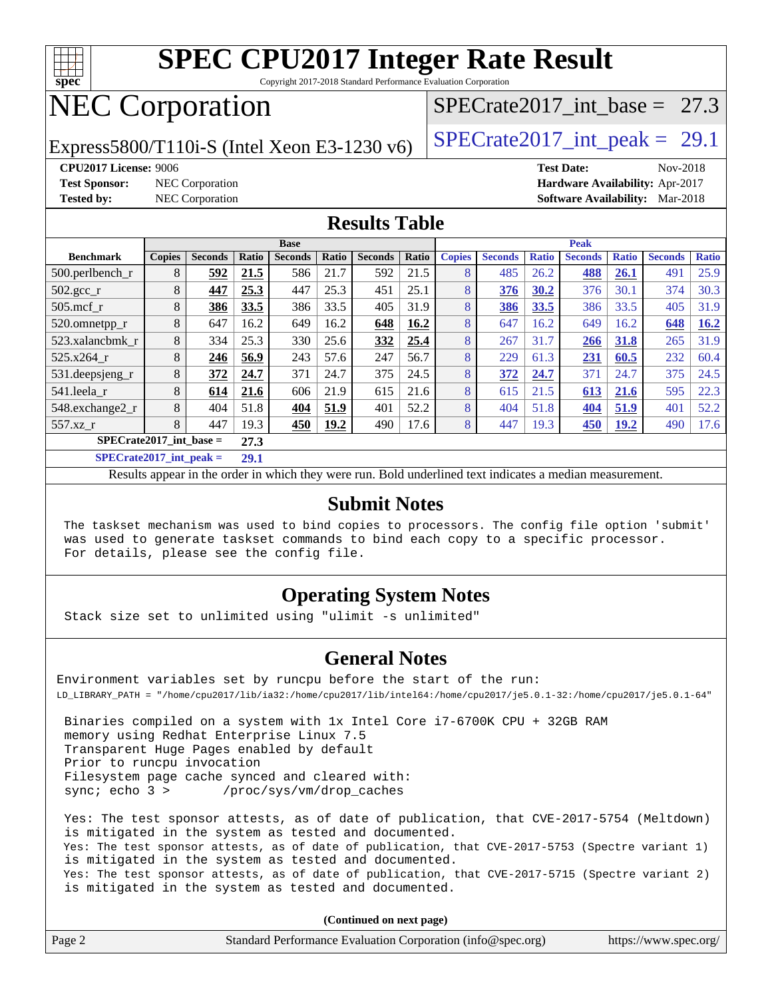

Copyright 2017-2018 Standard Performance Evaluation Corporation

# NEC Corporation

Express5800/T110i-S (Intel Xeon E3-1230 v6) [SPECrate2017\\_int\\_peak =](http://www.spec.org/auto/cpu2017/Docs/result-fields.html#SPECrate2017intpeak) 29.1

SPECrate2017 int\_base =  $27.3$ 

**[Test Sponsor:](http://www.spec.org/auto/cpu2017/Docs/result-fields.html#TestSponsor)** NEC Corporation **[Hardware Availability:](http://www.spec.org/auto/cpu2017/Docs/result-fields.html#HardwareAvailability)** Apr-2017

**[CPU2017 License:](http://www.spec.org/auto/cpu2017/Docs/result-fields.html#CPU2017License)** 9006 **[Test Date:](http://www.spec.org/auto/cpu2017/Docs/result-fields.html#TestDate)** Nov-2018 **[Tested by:](http://www.spec.org/auto/cpu2017/Docs/result-fields.html#Testedby)** NEC Corporation **[Software Availability:](http://www.spec.org/auto/cpu2017/Docs/result-fields.html#SoftwareAvailability)** Mar-2018

#### **[Results Table](http://www.spec.org/auto/cpu2017/Docs/result-fields.html#ResultsTable)**

| <b>Base</b>                 |               |                |                         |                |       | <b>Peak</b>    |       |               |                |              |                |              |                |              |
|-----------------------------|---------------|----------------|-------------------------|----------------|-------|----------------|-------|---------------|----------------|--------------|----------------|--------------|----------------|--------------|
| <b>Benchmark</b>            | <b>Copies</b> | <b>Seconds</b> | Ratio                   | <b>Seconds</b> | Ratio | <b>Seconds</b> | Ratio | <b>Copies</b> | <b>Seconds</b> | <b>Ratio</b> | <b>Seconds</b> | <b>Ratio</b> | <b>Seconds</b> | <b>Ratio</b> |
| 500.perlbench_r             | 8             | 592            | 21.5                    | 586            | 21.7  | 592            | 21.5  | 8             | 485            | 26.2         | 488            | 26.1         | 491            | 25.9         |
| $502.\text{gcc\_r}$         | 8             | 447            | 25.3                    | 447            | 25.3  | 451            | 25.1  | 8             | 376            | 30.2         | 376            | 30.1         | 374            | 30.3         |
| $505$ .mcf r                | 8             | 386            | 33.5                    | 386            | 33.5  | 405            | 31.9  | 8             | 386            | 33.5         | 386            | 33.5         | 405            | 31.9         |
| 520.omnetpp_r               | 8             | 647            | 16.2                    | 649            | 16.2  | 648            | 16.2  | 8             | 647            | 16.2         | 649            | 16.2         | 648            | 16.2         |
| 523.xalancbmk r             | 8             | 334            | 25.3                    | 330            | 25.6  | 332            | 25.4  | 8             | 267            | 31.7         | 266            | 31.8         | 265            | 31.9         |
| 525.x264 r                  | 8             | 246            | 56.9                    | 243            | 57.6  | 247            | 56.7  | 8             | 229            | 61.3         | 231            | 60.5         | 232            | 60.4         |
| 531.deepsjeng_r             | 8             | 372            | 24.7                    | 371            | 24.7  | 375            | 24.5  | 8             | 372            | 24.7         | 371            | 24.7         | 375            | 24.5         |
| 541.leela r                 | 8             | 614            | 21.6                    | 606            | 21.9  | 615            | 21.6  | 8             | 615            | 21.5         | 613            | 21.6         | 595            | 22.3         |
| 548.exchange2_r             | 8             | 404            | 51.8                    | 404            | 51.9  | 401            | 52.2  | 8             | 404            | 51.8         | 404            | 51.9         | 401            | 52.2         |
| 557.xz r                    | 8             | 447            | 19.3                    | 450            | 19.2  | 490            | 17.6  | 8             | 447            | 19.3         | 450            | 19.2         | 490            | 17.6         |
| $SPECrate2017\_int\_base =$ |               |                | 27.3                    |                |       |                |       |               |                |              |                |              |                |              |
| $CDDAC = 4.047 + 4 = 1.1$   |               |                | $\mathbf{A} \mathbf{A}$ |                |       |                |       |               |                |              |                |              |                |              |

**[SPECrate2017\\_int\\_peak =](http://www.spec.org/auto/cpu2017/Docs/result-fields.html#SPECrate2017intpeak) 29.1**

Results appear in the [order in which they were run](http://www.spec.org/auto/cpu2017/Docs/result-fields.html#RunOrder). Bold underlined text [indicates a median measurement](http://www.spec.org/auto/cpu2017/Docs/result-fields.html#Median).

#### **[Submit Notes](http://www.spec.org/auto/cpu2017/Docs/result-fields.html#SubmitNotes)**

 The taskset mechanism was used to bind copies to processors. The config file option 'submit' was used to generate taskset commands to bind each copy to a specific processor. For details, please see the config file.

### **[Operating System Notes](http://www.spec.org/auto/cpu2017/Docs/result-fields.html#OperatingSystemNotes)**

Stack size set to unlimited using "ulimit -s unlimited"

### **[General Notes](http://www.spec.org/auto/cpu2017/Docs/result-fields.html#GeneralNotes)**

Environment variables set by runcpu before the start of the run: LD\_LIBRARY\_PATH = "/home/cpu2017/lib/ia32:/home/cpu2017/lib/intel64:/home/cpu2017/je5.0.1-32:/home/cpu2017/je5.0.1-64"

 Binaries compiled on a system with 1x Intel Core i7-6700K CPU + 32GB RAM memory using Redhat Enterprise Linux 7.5 Transparent Huge Pages enabled by default Prior to runcpu invocation Filesystem page cache synced and cleared with: sync; echo 3 > /proc/sys/vm/drop\_caches

 Yes: The test sponsor attests, as of date of publication, that CVE-2017-5754 (Meltdown) is mitigated in the system as tested and documented. Yes: The test sponsor attests, as of date of publication, that CVE-2017-5753 (Spectre variant 1) is mitigated in the system as tested and documented. Yes: The test sponsor attests, as of date of publication, that CVE-2017-5715 (Spectre variant 2) is mitigated in the system as tested and documented.

**(Continued on next page)**

| Page 2<br>Standard Performance Evaluation Corporation (info@spec.org)<br>https://www.spec.org/ |
|------------------------------------------------------------------------------------------------|
|------------------------------------------------------------------------------------------------|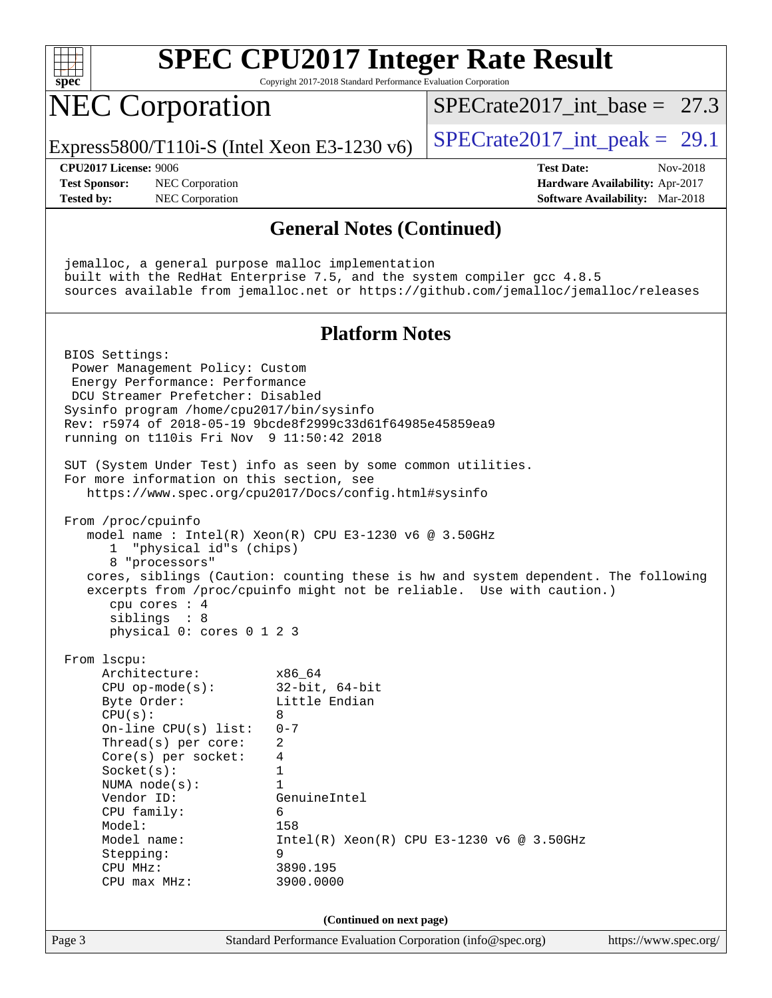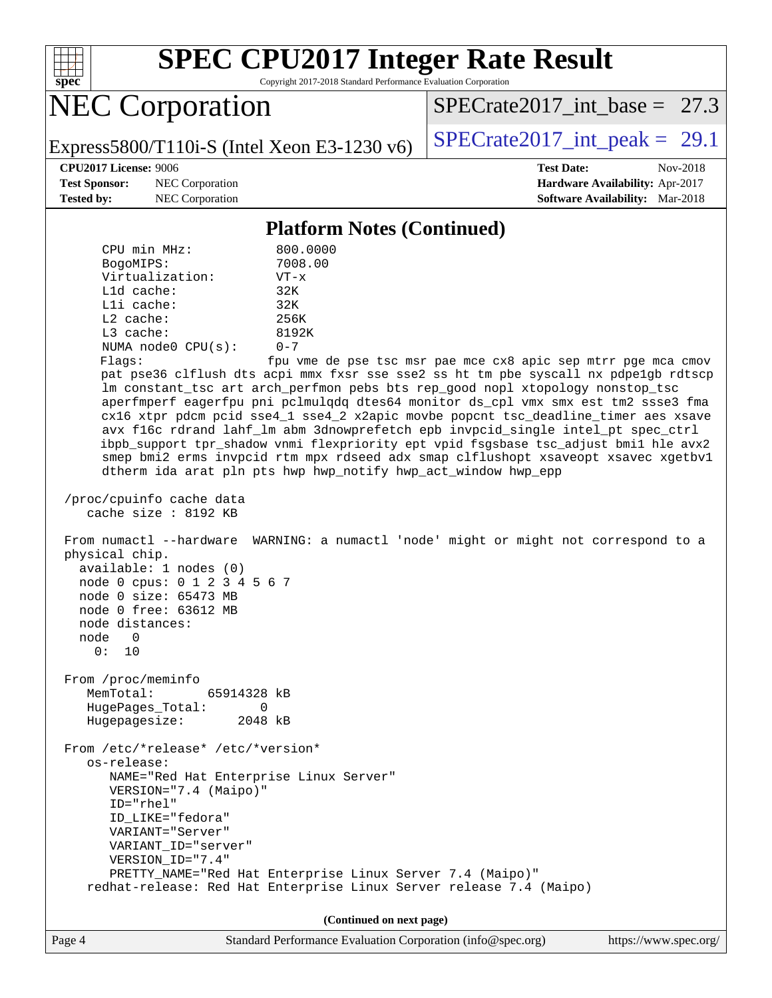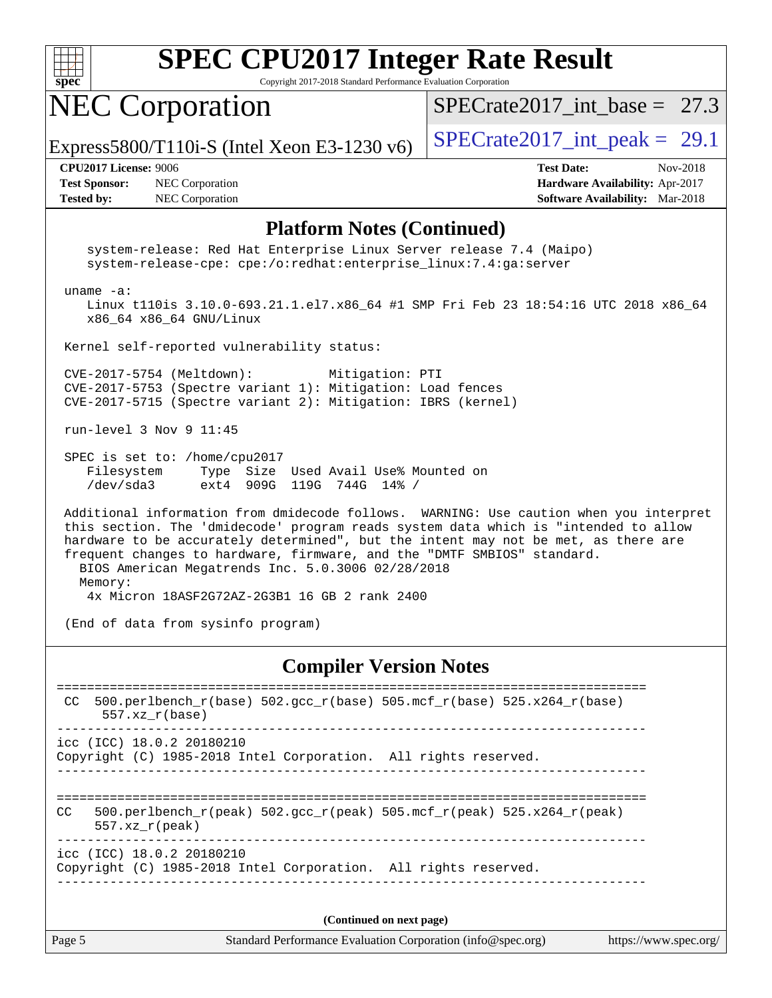

Copyright 2017-2018 Standard Performance Evaluation Corporation

## NEC Corporation

SPECrate2017 int\_base =  $27.3$ 

Express5800/T110i-S (Intel Xeon E3-1230 v6)  $\vert$  [SPECrate2017\\_int\\_peak =](http://www.spec.org/auto/cpu2017/Docs/result-fields.html#SPECrate2017intpeak) 29.1

**[Test Sponsor:](http://www.spec.org/auto/cpu2017/Docs/result-fields.html#TestSponsor)** NEC Corporation **[Hardware Availability:](http://www.spec.org/auto/cpu2017/Docs/result-fields.html#HardwareAvailability)** Apr-2017 **[Tested by:](http://www.spec.org/auto/cpu2017/Docs/result-fields.html#Testedby)** NEC Corporation **[Software Availability:](http://www.spec.org/auto/cpu2017/Docs/result-fields.html#SoftwareAvailability)** Mar-2018

**[CPU2017 License:](http://www.spec.org/auto/cpu2017/Docs/result-fields.html#CPU2017License)** 9006 **[Test Date:](http://www.spec.org/auto/cpu2017/Docs/result-fields.html#TestDate)** Nov-2018

#### **[Platform Notes \(Continued\)](http://www.spec.org/auto/cpu2017/Docs/result-fields.html#PlatformNotes)**

 system-release: Red Hat Enterprise Linux Server release 7.4 (Maipo) system-release-cpe: cpe:/o:redhat:enterprise\_linux:7.4:ga:server uname -a: Linux t110is 3.10.0-693.21.1.el7.x86\_64 #1 SMP Fri Feb 23 18:54:16 UTC 2018 x86\_64 x86\_64 x86\_64 GNU/Linux Kernel self-reported vulnerability status: CVE-2017-5754 (Meltdown): Mitigation: PTI CVE-2017-5753 (Spectre variant 1): Mitigation: Load fences CVE-2017-5715 (Spectre variant 2): Mitigation: IBRS (kernel) run-level 3 Nov 9 11:45 SPEC is set to: /home/cpu2017 Filesystem Type Size Used Avail Use% Mounted on /dev/sda3 ext4 909G 119G 744G 14% / Additional information from dmidecode follows. WARNING: Use caution when you interpret this section. The 'dmidecode' program reads system data which is "intended to allow hardware to be accurately determined", but the intent may not be met, as there are frequent changes to hardware, firmware, and the "DMTF SMBIOS" standard. BIOS American Megatrends Inc. 5.0.3006 02/28/2018 Memory: 4x Micron 18ASF2G72AZ-2G3B1 16 GB 2 rank 2400 (End of data from sysinfo program)

#### **[Compiler Version Notes](http://www.spec.org/auto/cpu2017/Docs/result-fields.html#CompilerVersionNotes)**

| CC  | 500.perlbench $r(base)$ 502.qcc $r(base)$ 505.mcf $r(base)$ 525.x264 $r(base)$<br>$557.xx$ $r(base)$                              |  |
|-----|-----------------------------------------------------------------------------------------------------------------------------------|--|
|     | icc (ICC) 18.0.2 20180210<br>Copyright (C) 1985-2018 Intel Corporation. All rights reserved.                                      |  |
| CC. | 500.perlbench $r(\text{peak})$ 502.gcc $r(\text{peak})$ 505.mcf $r(\text{peak})$ 525.x264 $r(\text{peak})$<br>$557.xx$ $r$ (peak) |  |
|     | icc (ICC) 18.0.2 20180210<br>Copyright (C) 1985-2018 Intel Corporation. All rights reserved.                                      |  |
|     |                                                                                                                                   |  |

**(Continued on next page)**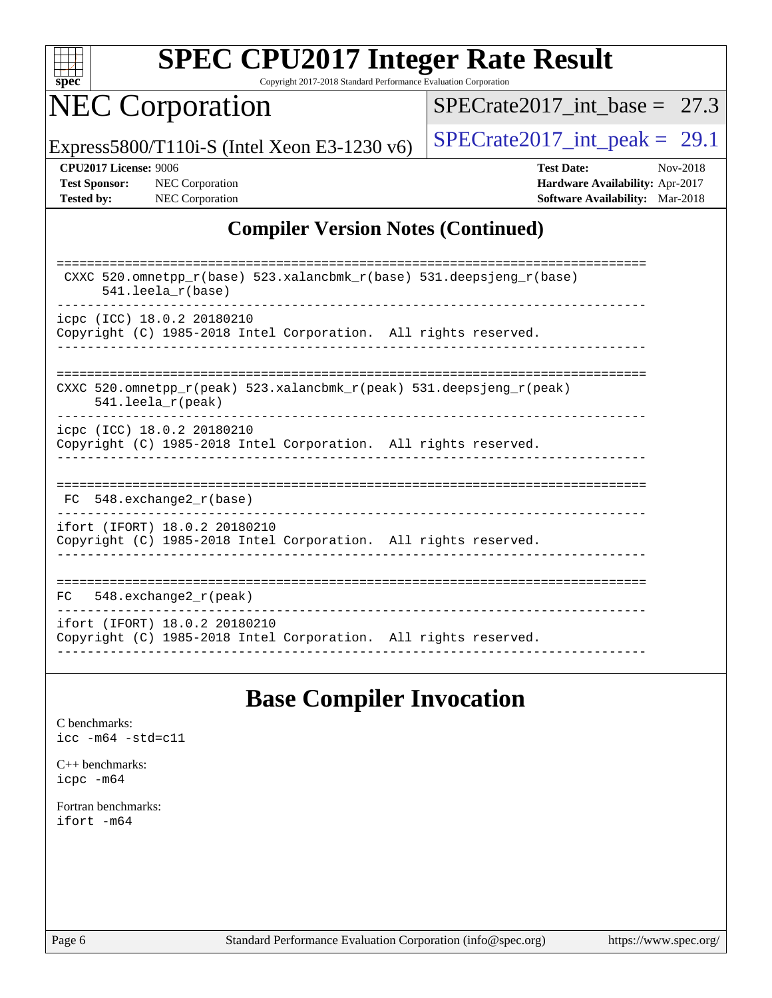

Copyright 2017-2018 Standard Performance Evaluation Corporation

# NEC Corporation

[SPECrate2017\\_int\\_base =](http://www.spec.org/auto/cpu2017/Docs/result-fields.html#SPECrate2017intbase) 27.3

Express5800/T110i-S (Intel Xeon E3-1230 v6)  $\left|$  [SPECrate2017\\_int\\_peak =](http://www.spec.org/auto/cpu2017/Docs/result-fields.html#SPECrate2017intpeak) 29.1

**[Tested by:](http://www.spec.org/auto/cpu2017/Docs/result-fields.html#Testedby)** NEC Corporation **[Software Availability:](http://www.spec.org/auto/cpu2017/Docs/result-fields.html#SoftwareAvailability)** Mar-2018

**[CPU2017 License:](http://www.spec.org/auto/cpu2017/Docs/result-fields.html#CPU2017License)** 9006 **[Test Date:](http://www.spec.org/auto/cpu2017/Docs/result-fields.html#TestDate)** Nov-2018 **[Test Sponsor:](http://www.spec.org/auto/cpu2017/Docs/result-fields.html#TestSponsor)** NEC Corporation **[Hardware Availability:](http://www.spec.org/auto/cpu2017/Docs/result-fields.html#HardwareAvailability)** Apr-2017

## **[Compiler Version Notes \(Continued\)](http://www.spec.org/auto/cpu2017/Docs/result-fields.html#CompilerVersionNotes)**

| CXXC 520.omnetpp_r(base) 523.xalancbmk_r(base) 531.deepsjeng_r(base)<br>$541.$ leela r(base)                               |
|----------------------------------------------------------------------------------------------------------------------------|
| icpc (ICC) 18.0.2 20180210                                                                                                 |
| Copyright (C) 1985-2018 Intel Corporation. All rights reserved.                                                            |
|                                                                                                                            |
|                                                                                                                            |
| CXXC 520.omnetpp $r(\text{peak})$ 523.xalancbmk $r(\text{peak})$ 531.deepsjeng $r(\text{peak})$<br>$541.$ leela $r$ (peak) |
| icpc (ICC) 18.0.2 20180210                                                                                                 |
| Copyright (C) 1985-2018 Intel Corporation. All rights reserved.                                                            |
|                                                                                                                            |
|                                                                                                                            |
|                                                                                                                            |
| $FC$ 548. exchange 2 $r(base)$                                                                                             |
|                                                                                                                            |
| ifort (IFORT) 18.0.2 20180210                                                                                              |
| Copyright (C) 1985-2018 Intel Corporation. All rights reserved.                                                            |
|                                                                                                                            |
|                                                                                                                            |
| 548.exchange2_r(peak)<br>FC.                                                                                               |
| ifort (IFORT) 18.0.2 20180210                                                                                              |
| Copyright (C) 1985-2018 Intel Corporation. All rights reserved.                                                            |
|                                                                                                                            |

## **[Base Compiler Invocation](http://www.spec.org/auto/cpu2017/Docs/result-fields.html#BaseCompilerInvocation)**

[C benchmarks](http://www.spec.org/auto/cpu2017/Docs/result-fields.html#Cbenchmarks): [icc -m64 -std=c11](http://www.spec.org/cpu2017/results/res2018q4/cpu2017-20181112-09514.flags.html#user_CCbase_intel_icc_64bit_c11_33ee0cdaae7deeeab2a9725423ba97205ce30f63b9926c2519791662299b76a0318f32ddfffdc46587804de3178b4f9328c46fa7c2b0cd779d7a61945c91cd35)

[C++ benchmarks:](http://www.spec.org/auto/cpu2017/Docs/result-fields.html#CXXbenchmarks) [icpc -m64](http://www.spec.org/cpu2017/results/res2018q4/cpu2017-20181112-09514.flags.html#user_CXXbase_intel_icpc_64bit_4ecb2543ae3f1412ef961e0650ca070fec7b7afdcd6ed48761b84423119d1bf6bdf5cad15b44d48e7256388bc77273b966e5eb805aefd121eb22e9299b2ec9d9)

[Fortran benchmarks](http://www.spec.org/auto/cpu2017/Docs/result-fields.html#Fortranbenchmarks): [ifort -m64](http://www.spec.org/cpu2017/results/res2018q4/cpu2017-20181112-09514.flags.html#user_FCbase_intel_ifort_64bit_24f2bb282fbaeffd6157abe4f878425411749daecae9a33200eee2bee2fe76f3b89351d69a8130dd5949958ce389cf37ff59a95e7a40d588e8d3a57e0c3fd751)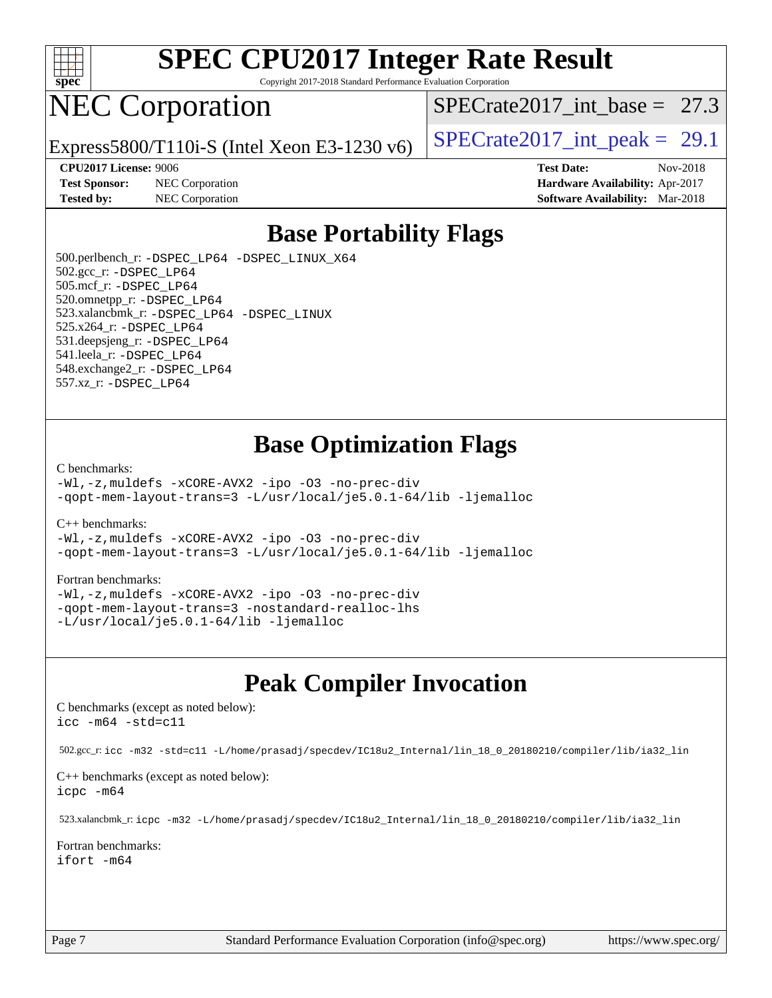

Copyright 2017-2018 Standard Performance Evaluation Corporation

## NEC Corporation

SPECrate2017 int\_base =  $27.3$ 

Express5800/T110i-S (Intel Xeon E3-1230 v6)  $\left|$  [SPECrate2017\\_int\\_peak =](http://www.spec.org/auto/cpu2017/Docs/result-fields.html#SPECrate2017intpeak) 29.1

**[Test Sponsor:](http://www.spec.org/auto/cpu2017/Docs/result-fields.html#TestSponsor)** NEC Corporation **[Hardware Availability:](http://www.spec.org/auto/cpu2017/Docs/result-fields.html#HardwareAvailability)** Apr-2017

**[CPU2017 License:](http://www.spec.org/auto/cpu2017/Docs/result-fields.html#CPU2017License)** 9006 **[Test Date:](http://www.spec.org/auto/cpu2017/Docs/result-fields.html#TestDate)** Nov-2018 **[Tested by:](http://www.spec.org/auto/cpu2017/Docs/result-fields.html#Testedby)** NEC Corporation **[Software Availability:](http://www.spec.org/auto/cpu2017/Docs/result-fields.html#SoftwareAvailability)** Mar-2018

## **[Base Portability Flags](http://www.spec.org/auto/cpu2017/Docs/result-fields.html#BasePortabilityFlags)**

 500.perlbench\_r: [-DSPEC\\_LP64](http://www.spec.org/cpu2017/results/res2018q4/cpu2017-20181112-09514.flags.html#b500.perlbench_r_basePORTABILITY_DSPEC_LP64) [-DSPEC\\_LINUX\\_X64](http://www.spec.org/cpu2017/results/res2018q4/cpu2017-20181112-09514.flags.html#b500.perlbench_r_baseCPORTABILITY_DSPEC_LINUX_X64) 502.gcc\_r: [-DSPEC\\_LP64](http://www.spec.org/cpu2017/results/res2018q4/cpu2017-20181112-09514.flags.html#suite_basePORTABILITY502_gcc_r_DSPEC_LP64) 505.mcf\_r: [-DSPEC\\_LP64](http://www.spec.org/cpu2017/results/res2018q4/cpu2017-20181112-09514.flags.html#suite_basePORTABILITY505_mcf_r_DSPEC_LP64) 520.omnetpp\_r: [-DSPEC\\_LP64](http://www.spec.org/cpu2017/results/res2018q4/cpu2017-20181112-09514.flags.html#suite_basePORTABILITY520_omnetpp_r_DSPEC_LP64) 523.xalancbmk\_r: [-DSPEC\\_LP64](http://www.spec.org/cpu2017/results/res2018q4/cpu2017-20181112-09514.flags.html#suite_basePORTABILITY523_xalancbmk_r_DSPEC_LP64) [-DSPEC\\_LINUX](http://www.spec.org/cpu2017/results/res2018q4/cpu2017-20181112-09514.flags.html#b523.xalancbmk_r_baseCXXPORTABILITY_DSPEC_LINUX) 525.x264\_r: [-DSPEC\\_LP64](http://www.spec.org/cpu2017/results/res2018q4/cpu2017-20181112-09514.flags.html#suite_basePORTABILITY525_x264_r_DSPEC_LP64) 531.deepsjeng\_r: [-DSPEC\\_LP64](http://www.spec.org/cpu2017/results/res2018q4/cpu2017-20181112-09514.flags.html#suite_basePORTABILITY531_deepsjeng_r_DSPEC_LP64) 541.leela\_r: [-DSPEC\\_LP64](http://www.spec.org/cpu2017/results/res2018q4/cpu2017-20181112-09514.flags.html#suite_basePORTABILITY541_leela_r_DSPEC_LP64) 548.exchange2\_r: [-DSPEC\\_LP64](http://www.spec.org/cpu2017/results/res2018q4/cpu2017-20181112-09514.flags.html#suite_basePORTABILITY548_exchange2_r_DSPEC_LP64) 557.xz\_r: [-DSPEC\\_LP64](http://www.spec.org/cpu2017/results/res2018q4/cpu2017-20181112-09514.flags.html#suite_basePORTABILITY557_xz_r_DSPEC_LP64)

## **[Base Optimization Flags](http://www.spec.org/auto/cpu2017/Docs/result-fields.html#BaseOptimizationFlags)**

#### [C benchmarks](http://www.spec.org/auto/cpu2017/Docs/result-fields.html#Cbenchmarks):

[-Wl,-z,muldefs](http://www.spec.org/cpu2017/results/res2018q4/cpu2017-20181112-09514.flags.html#user_CCbase_link_force_multiple1_b4cbdb97b34bdee9ceefcfe54f4c8ea74255f0b02a4b23e853cdb0e18eb4525ac79b5a88067c842dd0ee6996c24547a27a4b99331201badda8798ef8a743f577) [-xCORE-AVX2](http://www.spec.org/cpu2017/results/res2018q4/cpu2017-20181112-09514.flags.html#user_CCbase_f-xCORE-AVX2) [-ipo](http://www.spec.org/cpu2017/results/res2018q4/cpu2017-20181112-09514.flags.html#user_CCbase_f-ipo) [-O3](http://www.spec.org/cpu2017/results/res2018q4/cpu2017-20181112-09514.flags.html#user_CCbase_f-O3) [-no-prec-div](http://www.spec.org/cpu2017/results/res2018q4/cpu2017-20181112-09514.flags.html#user_CCbase_f-no-prec-div) [-qopt-mem-layout-trans=3](http://www.spec.org/cpu2017/results/res2018q4/cpu2017-20181112-09514.flags.html#user_CCbase_f-qopt-mem-layout-trans_de80db37974c74b1f0e20d883f0b675c88c3b01e9d123adea9b28688d64333345fb62bc4a798493513fdb68f60282f9a726aa07f478b2f7113531aecce732043) [-L/usr/local/je5.0.1-64/lib](http://www.spec.org/cpu2017/results/res2018q4/cpu2017-20181112-09514.flags.html#user_CCbase_jemalloc_link_path64_4b10a636b7bce113509b17f3bd0d6226c5fb2346b9178c2d0232c14f04ab830f976640479e5c33dc2bcbbdad86ecfb6634cbbd4418746f06f368b512fced5394) [-ljemalloc](http://www.spec.org/cpu2017/results/res2018q4/cpu2017-20181112-09514.flags.html#user_CCbase_jemalloc_link_lib_d1249b907c500fa1c0672f44f562e3d0f79738ae9e3c4a9c376d49f265a04b9c99b167ecedbf6711b3085be911c67ff61f150a17b3472be731631ba4d0471706)

#### [C++ benchmarks:](http://www.spec.org/auto/cpu2017/Docs/result-fields.html#CXXbenchmarks)

[-Wl,-z,muldefs](http://www.spec.org/cpu2017/results/res2018q4/cpu2017-20181112-09514.flags.html#user_CXXbase_link_force_multiple1_b4cbdb97b34bdee9ceefcfe54f4c8ea74255f0b02a4b23e853cdb0e18eb4525ac79b5a88067c842dd0ee6996c24547a27a4b99331201badda8798ef8a743f577) [-xCORE-AVX2](http://www.spec.org/cpu2017/results/res2018q4/cpu2017-20181112-09514.flags.html#user_CXXbase_f-xCORE-AVX2) [-ipo](http://www.spec.org/cpu2017/results/res2018q4/cpu2017-20181112-09514.flags.html#user_CXXbase_f-ipo) [-O3](http://www.spec.org/cpu2017/results/res2018q4/cpu2017-20181112-09514.flags.html#user_CXXbase_f-O3) [-no-prec-div](http://www.spec.org/cpu2017/results/res2018q4/cpu2017-20181112-09514.flags.html#user_CXXbase_f-no-prec-div) [-qopt-mem-layout-trans=3](http://www.spec.org/cpu2017/results/res2018q4/cpu2017-20181112-09514.flags.html#user_CXXbase_f-qopt-mem-layout-trans_de80db37974c74b1f0e20d883f0b675c88c3b01e9d123adea9b28688d64333345fb62bc4a798493513fdb68f60282f9a726aa07f478b2f7113531aecce732043) [-L/usr/local/je5.0.1-64/lib](http://www.spec.org/cpu2017/results/res2018q4/cpu2017-20181112-09514.flags.html#user_CXXbase_jemalloc_link_path64_4b10a636b7bce113509b17f3bd0d6226c5fb2346b9178c2d0232c14f04ab830f976640479e5c33dc2bcbbdad86ecfb6634cbbd4418746f06f368b512fced5394) [-ljemalloc](http://www.spec.org/cpu2017/results/res2018q4/cpu2017-20181112-09514.flags.html#user_CXXbase_jemalloc_link_lib_d1249b907c500fa1c0672f44f562e3d0f79738ae9e3c4a9c376d49f265a04b9c99b167ecedbf6711b3085be911c67ff61f150a17b3472be731631ba4d0471706)

#### [Fortran benchmarks](http://www.spec.org/auto/cpu2017/Docs/result-fields.html#Fortranbenchmarks):

[-Wl,-z,muldefs](http://www.spec.org/cpu2017/results/res2018q4/cpu2017-20181112-09514.flags.html#user_FCbase_link_force_multiple1_b4cbdb97b34bdee9ceefcfe54f4c8ea74255f0b02a4b23e853cdb0e18eb4525ac79b5a88067c842dd0ee6996c24547a27a4b99331201badda8798ef8a743f577) [-xCORE-AVX2](http://www.spec.org/cpu2017/results/res2018q4/cpu2017-20181112-09514.flags.html#user_FCbase_f-xCORE-AVX2) [-ipo](http://www.spec.org/cpu2017/results/res2018q4/cpu2017-20181112-09514.flags.html#user_FCbase_f-ipo) [-O3](http://www.spec.org/cpu2017/results/res2018q4/cpu2017-20181112-09514.flags.html#user_FCbase_f-O3) [-no-prec-div](http://www.spec.org/cpu2017/results/res2018q4/cpu2017-20181112-09514.flags.html#user_FCbase_f-no-prec-div) [-qopt-mem-layout-trans=3](http://www.spec.org/cpu2017/results/res2018q4/cpu2017-20181112-09514.flags.html#user_FCbase_f-qopt-mem-layout-trans_de80db37974c74b1f0e20d883f0b675c88c3b01e9d123adea9b28688d64333345fb62bc4a798493513fdb68f60282f9a726aa07f478b2f7113531aecce732043) [-nostandard-realloc-lhs](http://www.spec.org/cpu2017/results/res2018q4/cpu2017-20181112-09514.flags.html#user_FCbase_f_2003_std_realloc_82b4557e90729c0f113870c07e44d33d6f5a304b4f63d4c15d2d0f1fab99f5daaed73bdb9275d9ae411527f28b936061aa8b9c8f2d63842963b95c9dd6426b8a) [-L/usr/local/je5.0.1-64/lib](http://www.spec.org/cpu2017/results/res2018q4/cpu2017-20181112-09514.flags.html#user_FCbase_jemalloc_link_path64_4b10a636b7bce113509b17f3bd0d6226c5fb2346b9178c2d0232c14f04ab830f976640479e5c33dc2bcbbdad86ecfb6634cbbd4418746f06f368b512fced5394) [-ljemalloc](http://www.spec.org/cpu2017/results/res2018q4/cpu2017-20181112-09514.flags.html#user_FCbase_jemalloc_link_lib_d1249b907c500fa1c0672f44f562e3d0f79738ae9e3c4a9c376d49f265a04b9c99b167ecedbf6711b3085be911c67ff61f150a17b3472be731631ba4d0471706)

## **[Peak Compiler Invocation](http://www.spec.org/auto/cpu2017/Docs/result-fields.html#PeakCompilerInvocation)**

[C benchmarks \(except as noted below\)](http://www.spec.org/auto/cpu2017/Docs/result-fields.html#Cbenchmarksexceptasnotedbelow): [icc -m64 -std=c11](http://www.spec.org/cpu2017/results/res2018q4/cpu2017-20181112-09514.flags.html#user_CCpeak_intel_icc_64bit_c11_33ee0cdaae7deeeab2a9725423ba97205ce30f63b9926c2519791662299b76a0318f32ddfffdc46587804de3178b4f9328c46fa7c2b0cd779d7a61945c91cd35)

502.gcc\_r: [icc -m32 -std=c11 -L/home/prasadj/specdev/IC18u2\\_Internal/lin\\_18\\_0\\_20180210/compiler/lib/ia32\\_lin](http://www.spec.org/cpu2017/results/res2018q4/cpu2017-20181112-09514.flags.html#user_peakCCLD502_gcc_r_intel_icc_a481ac844e7127046fad14d498c730a1848fa901fbbb2c3dfdd5e9fbbac777c8009953946d55d8b6afe8ed0da70dd2b4f8dedbdf7ab1ee211ba70d24a5d89f85)

[C++ benchmarks \(except as noted below\):](http://www.spec.org/auto/cpu2017/Docs/result-fields.html#CXXbenchmarksexceptasnotedbelow) [icpc -m64](http://www.spec.org/cpu2017/results/res2018q4/cpu2017-20181112-09514.flags.html#user_CXXpeak_intel_icpc_64bit_4ecb2543ae3f1412ef961e0650ca070fec7b7afdcd6ed48761b84423119d1bf6bdf5cad15b44d48e7256388bc77273b966e5eb805aefd121eb22e9299b2ec9d9)

523.xalancbmk\_r: [icpc -m32 -L/home/prasadj/specdev/IC18u2\\_Internal/lin\\_18\\_0\\_20180210/compiler/lib/ia32\\_lin](http://www.spec.org/cpu2017/results/res2018q4/cpu2017-20181112-09514.flags.html#user_peakCXXLD523_xalancbmk_r_intel_icpc_c6d030cd79af6ea7d6fb64c57e8fe7ae8fe0b96fc5a3b3f4a10e3273b3d7fa9decd8263f6330cef23f751cb093a69fae84a2bf4c243500a8eed069248128076f)

[Fortran benchmarks](http://www.spec.org/auto/cpu2017/Docs/result-fields.html#Fortranbenchmarks): [ifort -m64](http://www.spec.org/cpu2017/results/res2018q4/cpu2017-20181112-09514.flags.html#user_FCpeak_intel_ifort_64bit_24f2bb282fbaeffd6157abe4f878425411749daecae9a33200eee2bee2fe76f3b89351d69a8130dd5949958ce389cf37ff59a95e7a40d588e8d3a57e0c3fd751)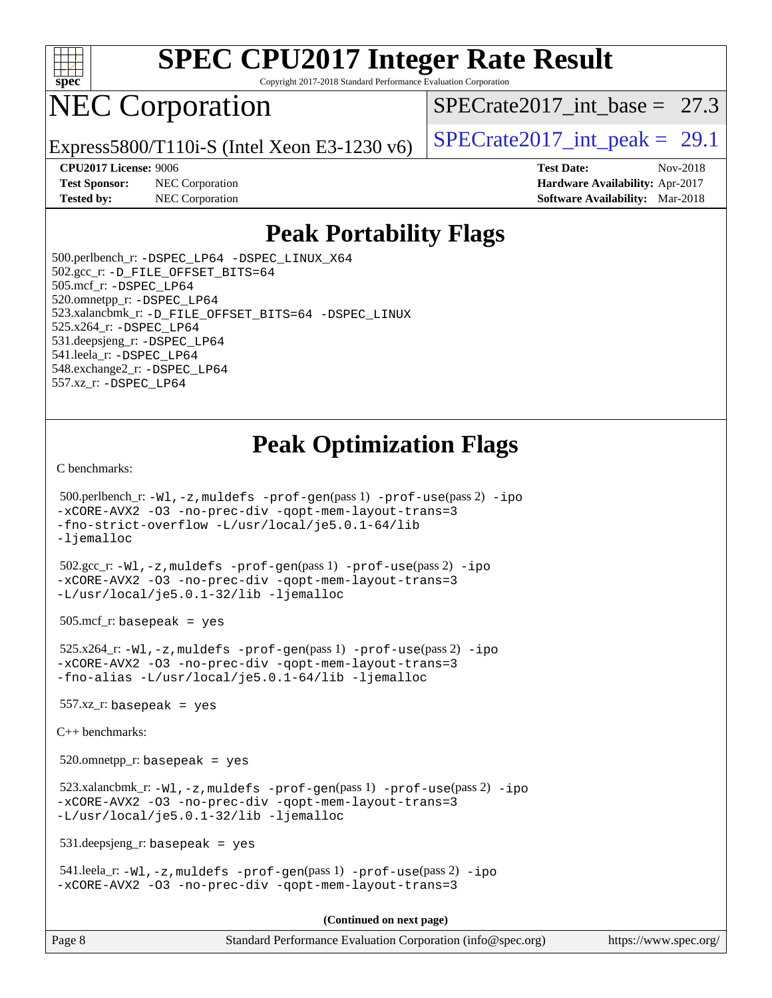

Copyright 2017-2018 Standard Performance Evaluation Corporation

# NEC Corporation

SPECrate2017 int\_base =  $27.3$ 

Express5800/T110i-S (Intel Xeon E3-1230 v6)  $\left|$  [SPECrate2017\\_int\\_peak =](http://www.spec.org/auto/cpu2017/Docs/result-fields.html#SPECrate2017intpeak) 29.1

**[Test Sponsor:](http://www.spec.org/auto/cpu2017/Docs/result-fields.html#TestSponsor)** NEC Corporation **[Hardware Availability:](http://www.spec.org/auto/cpu2017/Docs/result-fields.html#HardwareAvailability)** Apr-2017

**[CPU2017 License:](http://www.spec.org/auto/cpu2017/Docs/result-fields.html#CPU2017License)** 9006 **[Test Date:](http://www.spec.org/auto/cpu2017/Docs/result-fields.html#TestDate)** Nov-2018 **[Tested by:](http://www.spec.org/auto/cpu2017/Docs/result-fields.html#Testedby)** NEC Corporation **[Software Availability:](http://www.spec.org/auto/cpu2017/Docs/result-fields.html#SoftwareAvailability)** Mar-2018

## **[Peak Portability Flags](http://www.spec.org/auto/cpu2017/Docs/result-fields.html#PeakPortabilityFlags)**

 500.perlbench\_r: [-DSPEC\\_LP64](http://www.spec.org/cpu2017/results/res2018q4/cpu2017-20181112-09514.flags.html#b500.perlbench_r_peakPORTABILITY_DSPEC_LP64) [-DSPEC\\_LINUX\\_X64](http://www.spec.org/cpu2017/results/res2018q4/cpu2017-20181112-09514.flags.html#b500.perlbench_r_peakCPORTABILITY_DSPEC_LINUX_X64) 502.gcc\_r: [-D\\_FILE\\_OFFSET\\_BITS=64](http://www.spec.org/cpu2017/results/res2018q4/cpu2017-20181112-09514.flags.html#user_peakPORTABILITY502_gcc_r_file_offset_bits_64_5ae949a99b284ddf4e95728d47cb0843d81b2eb0e18bdfe74bbf0f61d0b064f4bda2f10ea5eb90e1dcab0e84dbc592acfc5018bc955c18609f94ddb8d550002c) 505.mcf\_r: [-DSPEC\\_LP64](http://www.spec.org/cpu2017/results/res2018q4/cpu2017-20181112-09514.flags.html#suite_peakPORTABILITY505_mcf_r_DSPEC_LP64) 520.omnetpp\_r: [-DSPEC\\_LP64](http://www.spec.org/cpu2017/results/res2018q4/cpu2017-20181112-09514.flags.html#suite_peakPORTABILITY520_omnetpp_r_DSPEC_LP64) 523.xalancbmk\_r: [-D\\_FILE\\_OFFSET\\_BITS=64](http://www.spec.org/cpu2017/results/res2018q4/cpu2017-20181112-09514.flags.html#user_peakPORTABILITY523_xalancbmk_r_file_offset_bits_64_5ae949a99b284ddf4e95728d47cb0843d81b2eb0e18bdfe74bbf0f61d0b064f4bda2f10ea5eb90e1dcab0e84dbc592acfc5018bc955c18609f94ddb8d550002c) [-DSPEC\\_LINUX](http://www.spec.org/cpu2017/results/res2018q4/cpu2017-20181112-09514.flags.html#b523.xalancbmk_r_peakCXXPORTABILITY_DSPEC_LINUX) 525.x264\_r: [-DSPEC\\_LP64](http://www.spec.org/cpu2017/results/res2018q4/cpu2017-20181112-09514.flags.html#suite_peakPORTABILITY525_x264_r_DSPEC_LP64) 531.deepsjeng\_r: [-DSPEC\\_LP64](http://www.spec.org/cpu2017/results/res2018q4/cpu2017-20181112-09514.flags.html#suite_peakPORTABILITY531_deepsjeng_r_DSPEC_LP64) 541.leela\_r: [-DSPEC\\_LP64](http://www.spec.org/cpu2017/results/res2018q4/cpu2017-20181112-09514.flags.html#suite_peakPORTABILITY541_leela_r_DSPEC_LP64) 548.exchange2\_r: [-DSPEC\\_LP64](http://www.spec.org/cpu2017/results/res2018q4/cpu2017-20181112-09514.flags.html#suite_peakPORTABILITY548_exchange2_r_DSPEC_LP64) 557.xz\_r: [-DSPEC\\_LP64](http://www.spec.org/cpu2017/results/res2018q4/cpu2017-20181112-09514.flags.html#suite_peakPORTABILITY557_xz_r_DSPEC_LP64)

## **[Peak Optimization Flags](http://www.spec.org/auto/cpu2017/Docs/result-fields.html#PeakOptimizationFlags)**

[C benchmarks](http://www.spec.org/auto/cpu2017/Docs/result-fields.html#Cbenchmarks):

```
 500.perlbench_r: -Wl,-z,muldefs -prof-gen(pass 1) -prof-use(pass 2) -ipo
-xCORE-AVX2 -O3 -no-prec-div -qopt-mem-layout-trans=3
-fno-strict-overflow -L/usr/local/je5.0.1-64/lib
-ljemalloc
 502.gcc_r: -Wl,-z,muldefs -prof-gen(pass 1) -prof-use(pass 2) -ipo
-xCORE-AVX2 -O3 -no-prec-div -qopt-mem-layout-trans=3
-L/usr/local/je5.0.1-32/lib -ljemalloc
 505.mcf_r: basepeak = yes
 525.x264_r: -Wl,-z,muldefs -prof-gen(pass 1) -prof-use(pass 2) -ipo
-xCORE-AVX2 -O3 -no-prec-div -qopt-mem-layout-trans=3
-fno-alias -L/usr/local/je5.0.1-64/lib -ljemalloc
557.xz r: basepeak = yes
C++ benchmarks: 
 520.omnetpp_r: basepeak = yes
 523.xalancbmk_r: -Wl,-z,muldefs -prof-gen(pass 1) -prof-use(pass 2) -ipo
-xCORE-AVX2 -O3 -no-prec-div -qopt-mem-layout-trans=3
-L/usr/local/je5.0.1-32/lib -ljemalloc
 531.deepsjeng_r: basepeak = yes
 541.leela_r: -Wl,-z,muldefs -prof-gen(pass 1) -prof-use(pass 2) -ipo
-xCORE-AVX2 -O3 -no-prec-div -qopt-mem-layout-trans=3
                                       (Continued on next page)
```
Page 8 Standard Performance Evaluation Corporation [\(info@spec.org\)](mailto:info@spec.org) <https://www.spec.org/>